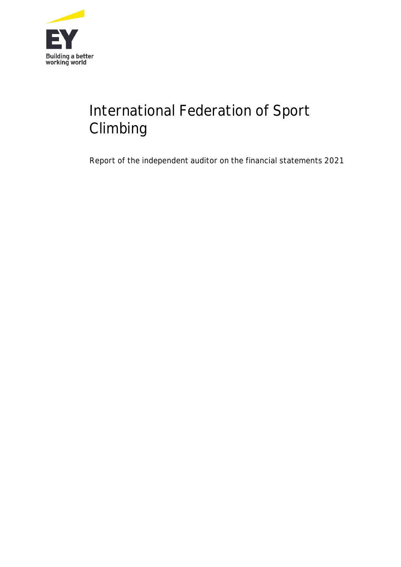

# International Federation of Sport Climbing

Report of the independent auditor on the financial statements 2021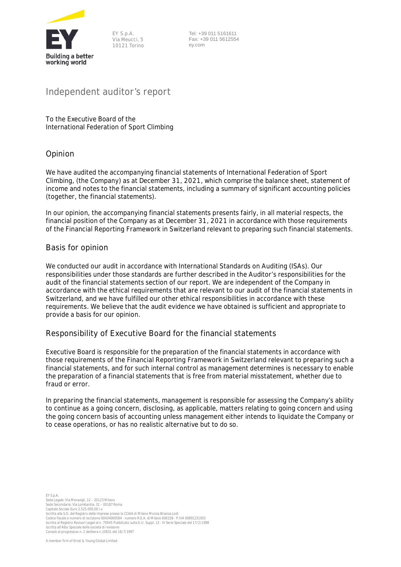

EY S.p.A. Via Meucci, 5 10121 Torino

 Tel: +39 011 5161611 Fax: +39 011 5612554 ey.com

# **Independent auditor's report**

To the Executive Board of the International Federation of Sport Climbing

#### **Opinion**

We have audited the accompanying financial statements of International Federation of Sport Climbing, (the Company) as at December 31, 2021, which comprise the balance sheet, statement of income and notes to the financial statements, including a summary of significant accounting policies (together, the financial statements).

In our opinion, the accompanying financial statements presents fairly, in all material respects, the financial position of the Company as at December 31, 2021 in accordance with those requirements of the Financial Reporting Framework in Switzerland relevant to preparing such financial statements.

#### **Basis for opinion**

We conducted our audit in accordance with International Standards on Auditing (ISAs). Our responsibilities under those standards are further described in the *Auditor's responsibilities for the audit of the financial statements* section of our report. We are independent of the Company in accordance with the ethical requirements that are relevant to our audit of the financial statements in Switzerland, and we have fulfilled our other ethical responsibilities in accordance with these requirements. We believe that the audit evidence we have obtained is sufficient and appropriate to provide a basis for our opinion.

#### **Responsibility of Executive Board for the financial statements**

Executive Board is responsible for the preparation of the financial statements in accordance with those requirements of the Financial Reporting Framework in Switzerland relevant to preparing such a financial statements, and for such internal control as management determines is necessary to enable the preparation of a financial statements that is free from material misstatement, whether due to fraud or error.

In preparing the financial statements, management is responsible for assessing the Company's ability to continue as a going concern, disclosing, as applicable, matters relating to going concern and using the going concern basis of accounting unless management either intends to liquidate the Company or to cease operations, or has no realistic alternative but to do so.

EY S.p.A. Sede Legale: Via Meravigli, 12 – 20123 Milano Sede Secondaria: Via Lombardia, 31 – 00187 Roma Capitale Sociale Euro 2.525.000,00 i.v. Iscritta alla S.O. del Registro delle Imprese presso la CCIAA di Milano Monza Brianza Lodi Codice fiscale e numero di iscrizione 00434000584 - numero R.E.A. di Milano 606158 - P.IVA 00891231003 Iscritta al Registro Revisori Legali al n. 70945 Pubblicato sulla G.U. Suppl. 13 - IV Serie Speciale del 17/2/1998 Iscritta all'Albo Speciale delle società di revisione Consob al progressivo n. 2 delibera n.10831 del 16/7/1997

A member firm of Ernst & Young Global Limited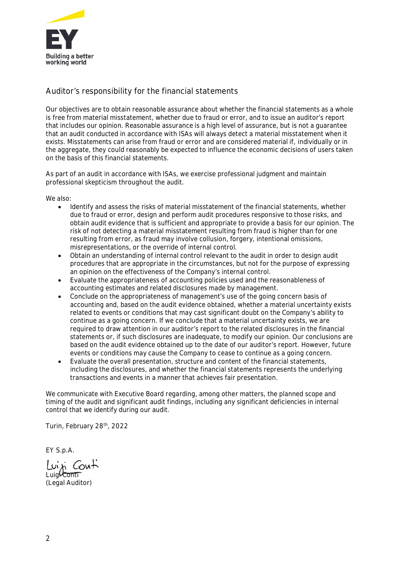

# **Auditor's responsibility for the financial statements**

Our objectives are to obtain reasonable assurance about whether the financial statements as a whole is free from material misstatement, whether due to fraud or error, and to issue an auditor's report that includes our opinion. Reasonable assurance is a high level of assurance, but is not a guarantee that an audit conducted in accordance with ISAs will always detect a material misstatement when it exists. Misstatements can arise from fraud or error and are considered material if, individually or in the aggregate, they could reasonably be expected to influence the economic decisions of users taken on the basis of this financial statements.

As part of an audit in accordance with ISAs, we exercise professional judgment and maintain professional skepticism throughout the audit.

We also:

- Identify and assess the risks of material misstatement of the financial statements, whether due to fraud or error, design and perform audit procedures responsive to those risks, and obtain audit evidence that is sufficient and appropriate to provide a basis for our opinion. The risk of not detecting a material misstatement resulting from fraud is higher than for one resulting from error, as fraud may involve collusion, forgery, intentional omissions, misrepresentations, or the override of internal control.
- Obtain an understanding of internal control relevant to the audit in order to design audit procedures that are appropriate in the circumstances, but not for the purpose of expressing an opinion on the effectiveness of the Company's internal control.
- Evaluate the appropriateness of accounting policies used and the reasonableness of accounting estimates and related disclosures made by management.
- Conclude on the appropriateness of management's use of the going concern basis of accounting and, based on the audit evidence obtained, whether a material uncertainty exists related to events or conditions that may cast significant doubt on the Company's ability to continue as a going concern. If we conclude that a material uncertainty exists, we are required to draw attention in our auditor's report to the related disclosures in the financial statements or, if such disclosures are inadequate, to modify our opinion. Our conclusions are based on the audit evidence obtained up to the date of our auditor's report. However, future events or conditions may cause the Company to cease to continue as a going concern.
- Evaluate the overall presentation, structure and content of the financial statements, including the disclosures, and whether the financial statements represents the underlying transactions and events in a manner that achieves fair presentation.

We communicate with Executive Board regarding, among other matters, the planned scope and timing of the audit and significant audit findings, including any significant deficiencies in internal control that we identify during our audit.

Turin, February 28<sup>th</sup>, 2022

EY S.p.A.

Luisi Conti Luig<sup>0</sup> Conti (Legal Auditor)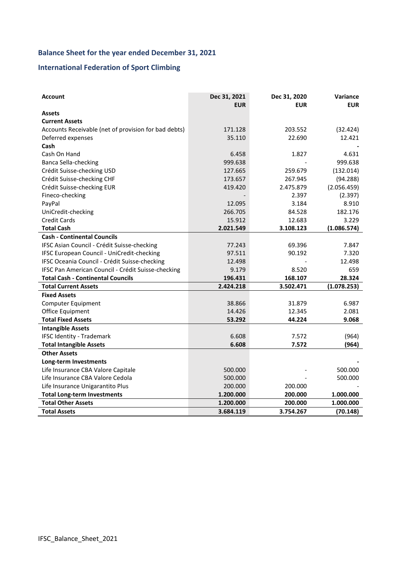# **Balance Sheet for the year ended December 31, 2021**

# **International Federation of Sport Climbing**

| <b>Account</b>                                       | Dec 31, 2021<br><b>EUR</b> | Dec 31, 2020<br><b>EUR</b> | Variance<br><b>EUR</b> |
|------------------------------------------------------|----------------------------|----------------------------|------------------------|
| <b>Assets</b>                                        |                            |                            |                        |
| <b>Current Assets</b>                                |                            |                            |                        |
| Accounts Receivable (net of provision for bad debts) | 171.128                    | 203.552                    | (32.424)               |
| Deferred expenses                                    | 35.110                     | 22.690                     | 12.421                 |
| Cash                                                 |                            |                            |                        |
| Cash On Hand                                         | 6.458                      | 1.827                      | 4.631                  |
| <b>Banca Sella-checking</b>                          | 999.638                    |                            | 999.638                |
| Crédit Suisse-checking USD                           | 127.665                    | 259.679                    | (132.014)              |
| Crédit Suisse-checking CHF                           | 173.657                    | 267.945                    | (94.288)               |
| Crédit Suisse-checking EUR                           | 419.420                    | 2.475.879                  | (2.056.459)            |
| Fineco-checking                                      |                            | 2.397                      | (2.397)                |
| PayPal                                               | 12.095                     | 3.184                      | 8.910                  |
| UniCredit-checking                                   | 266.705                    | 84.528                     | 182.176                |
| <b>Credit Cards</b>                                  | 15.912                     | 12.683                     | 3.229                  |
| <b>Total Cash</b>                                    | 2.021.549                  | 3.108.123                  | (1.086.574)            |
| <b>Cash - Continental Councils</b>                   |                            |                            |                        |
| IFSC Asian Council - Crédit Suisse-checking          | 77.243                     | 69.396                     | 7.847                  |
| IFSC European Council - UniCredit-checking           | 97.511                     | 90.192                     | 7.320                  |
| IFSC Oceania Council - Crédit Suisse-checking        | 12.498                     |                            | 12.498                 |
| IFSC Pan American Council - Crédit Suisse-checking   | 9.179                      | 8.520                      | 659                    |
| <b>Total Cash - Continental Councils</b>             | 196.431                    | 168.107                    | 28.324                 |
| <b>Total Current Assets</b>                          | 2.424.218                  | 3.502.471                  | (1.078.253)            |
| <b>Fixed Assets</b>                                  |                            |                            |                        |
| Computer Equipment                                   | 38.866                     | 31.879                     | 6.987                  |
| Office Equipment                                     | 14.426                     | 12.345                     | 2.081                  |
| <b>Total Fixed Assets</b>                            | 53.292                     | 44.224                     | 9.068                  |
| <b>Intangible Assets</b>                             |                            |                            |                        |
| <b>IFSC Identity - Trademark</b>                     | 6.608                      | 7.572                      | (964)                  |
| <b>Total Intangible Assets</b>                       | 6.608                      | 7.572                      | (964)                  |
| <b>Other Assets</b>                                  |                            |                            |                        |
| <b>Long-term Investments</b>                         |                            |                            |                        |
| Life Insurance CBA Valore Capitale                   | 500.000                    |                            | 500.000                |
| Life Insurance CBA Valore Cedola                     | 500.000                    |                            | 500.000                |
| Life Insurance Unigarantito Plus                     | 200.000                    | 200.000                    |                        |
| <b>Total Long-term Investments</b>                   | 1.200.000                  | 200.000                    | 1.000.000              |
| <b>Total Other Assets</b>                            | 1.200.000                  | 200.000                    | 1.000.000              |
| <b>Total Assets</b>                                  | 3.684.119                  | 3.754.267                  | (70.148)               |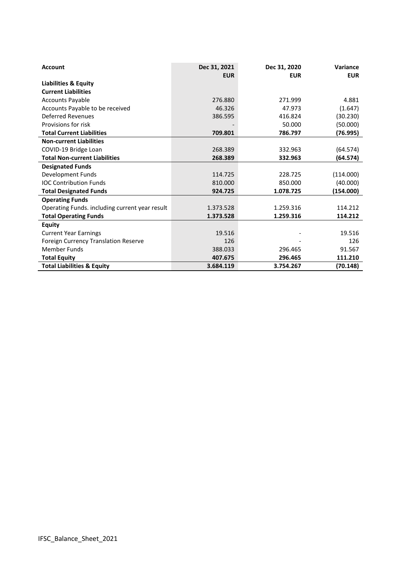| <b>Account</b>                                 | Dec 31, 2021<br><b>EUR</b> | Dec 31, 2020<br><b>EUR</b> | Variance<br><b>EUR</b> |
|------------------------------------------------|----------------------------|----------------------------|------------------------|
| <b>Liabilities &amp; Equity</b>                |                            |                            |                        |
| <b>Current Liabilities</b>                     |                            |                            |                        |
| <b>Accounts Payable</b>                        | 276.880                    | 271.999                    | 4.881                  |
| Accounts Payable to be received                | 46.326                     | 47.973                     | (1.647)                |
| <b>Deferred Revenues</b>                       | 386.595                    | 416.824                    | (30.230)               |
| Provisions for risk                            |                            | 50.000                     | (50.000)               |
| <b>Total Current Liabilities</b>               | 709.801                    | 786.797                    | (76.995)               |
| <b>Non-current Liabilities</b>                 |                            |                            |                        |
| COVID-19 Bridge Loan                           | 268.389                    | 332.963                    | (64.574)               |
| <b>Total Non-current Liabilities</b>           | 268.389                    | 332.963                    | (64.574)               |
| <b>Designated Funds</b>                        |                            |                            |                        |
| Development Funds                              | 114.725                    | 228.725                    | (114.000)              |
| <b>IOC Contribution Funds</b>                  | 810.000                    | 850.000                    | (40.000)               |
| <b>Total Designated Funds</b>                  | 924.725                    | 1.078.725                  | (154.000)              |
| <b>Operating Funds</b>                         |                            |                            |                        |
| Operating Funds. including current year result | 1.373.528                  | 1.259.316                  | 114.212                |
| <b>Total Operating Funds</b>                   | 1.373.528                  | 1.259.316                  | 114.212                |
| <b>Equity</b>                                  |                            |                            |                        |
| <b>Current Year Earnings</b>                   | 19.516                     |                            | 19.516                 |
| <b>Foreign Currency Translation Reserve</b>    | 126                        |                            | 126                    |
| Member Funds                                   | 388.033                    | 296.465                    | 91.567                 |
| <b>Total Equity</b>                            | 407.675                    | 296.465                    | 111.210                |
| <b>Total Liabilities &amp; Equity</b>          | 3.684.119                  | 3.754.267                  | (70.148)               |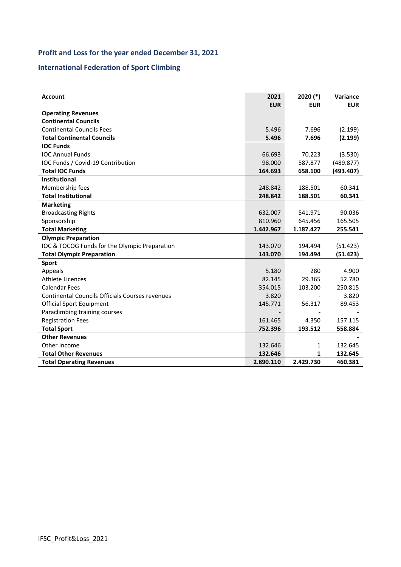# **Profit and Loss for the year ended December 31, 2021**

# **International Federation of Sport Climbing**

| <b>Account</b>                                  | 2021<br><b>EUR</b> | $2020$ (*)<br><b>EUR</b> | Variance<br><b>EUR</b> |
|-------------------------------------------------|--------------------|--------------------------|------------------------|
| <b>Operating Revenues</b>                       |                    |                          |                        |
| <b>Continental Councils</b>                     |                    |                          |                        |
| <b>Continental Councils Fees</b>                | 5.496              | 7.696                    | (2.199)                |
| <b>Total Continental Councils</b>               | 5.496              | 7.696                    | (2.199)                |
| <b>IOC Funds</b>                                |                    |                          |                        |
| <b>IOC Annual Funds</b>                         | 66.693             | 70.223                   | (3.530)                |
| IOC Funds / Covid-19 Contribution               | 98.000             | 587.877                  | (489.877)              |
| <b>Total IOC Funds</b>                          | 164.693            | 658.100                  | (493.407)              |
| <b>Institutional</b>                            |                    |                          |                        |
| Membership fees                                 | 248.842            | 188.501                  | 60.341                 |
| <b>Total Institutional</b>                      | 248.842            | 188.501                  | 60.341                 |
| <b>Marketing</b>                                |                    |                          |                        |
| <b>Broadcasting Rights</b>                      | 632.007            | 541.971                  | 90.036                 |
| Sponsorship                                     | 810.960            | 645.456                  | 165.505                |
| <b>Total Marketing</b>                          | 1.442.967          | 1.187.427                | 255.541                |
| <b>Olympic Preparation</b>                      |                    |                          |                        |
| IOC & TOCOG Funds for the Olympic Preparation   | 143.070            | 194.494                  | (51.423)               |
| <b>Total Olympic Preparation</b>                | 143.070            | 194.494                  | (51.423)               |
| Sport                                           |                    |                          |                        |
| Appeals                                         | 5.180              | 280                      | 4.900                  |
| Athlete Licences                                | 82.145             | 29.365                   | 52.780                 |
| <b>Calendar Fees</b>                            | 354.015            | 103.200                  | 250.815                |
| Continental Councils Officials Courses revenues | 3.820              |                          | 3.820                  |
| <b>Official Sport Equipment</b>                 | 145.771            | 56.317                   | 89.453                 |
| Paraclimbing training courses                   |                    |                          |                        |
| <b>Registration Fees</b>                        | 161.465            | 4.350                    | 157.115                |
| <b>Total Sport</b>                              | 752.396            | 193.512                  | 558.884                |
| <b>Other Revenues</b>                           |                    |                          |                        |
| Other Income                                    | 132.646            | 1                        | 132.645                |
| <b>Total Other Revenues</b>                     | 132.646            | 1                        | 132.645                |
| <b>Total Operating Revenues</b>                 | 2.890.110          | 2.429.730                | 460.381                |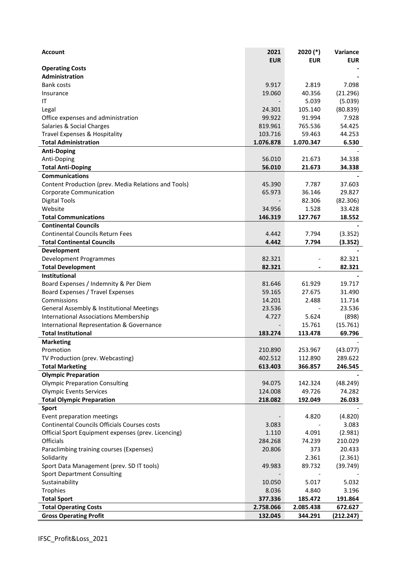| <b>Account</b>                                       | 2021       | $2020$ (*) | Variance   |
|------------------------------------------------------|------------|------------|------------|
|                                                      | <b>EUR</b> | <b>EUR</b> | <b>EUR</b> |
| <b>Operating Costs</b>                               |            |            |            |
| Administration                                       |            |            |            |
| Bank costs                                           | 9.917      | 2.819      | 7.098      |
| Insurance                                            | 19.060     | 40.356     | (21.296)   |
| ΙT                                                   |            | 5.039      | (5.039)    |
| Legal                                                | 24.301     | 105.140    | (80.839)   |
| Office expenses and administration                   | 99.922     | 91.994     | 7.928      |
| Salaries & Social Charges                            | 819.961    | 765.536    | 54.425     |
| Travel Expenses & Hospitality                        | 103.716    | 59.463     | 44.253     |
| <b>Total Administration</b>                          | 1.076.878  | 1.070.347  | 6.530      |
| <b>Anti-Doping</b>                                   |            |            |            |
| Anti-Doping                                          | 56.010     | 21.673     | 34.338     |
| <b>Total Anti-Doping</b>                             | 56.010     | 21.673     | 34.338     |
| <b>Communications</b>                                |            |            |            |
| Content Production (prev. Media Relations and Tools) | 45.390     | 7.787      | 37.603     |
| Corporate Communication                              | 65.973     | 36.146     | 29.827     |
| <b>Digital Tools</b>                                 |            | 82.306     | (82.306)   |
| Website                                              | 34.956     | 1.528      | 33.428     |
| <b>Total Communications</b>                          | 146.319    | 127.767    | 18.552     |
| <b>Continental Councils</b>                          |            |            |            |
|                                                      |            |            |            |
| <b>Continental Councils Return Fees</b>              | 4.442      | 7.794      | (3.352)    |
| <b>Total Continental Councils</b>                    | 4.442      | 7.794      | (3.352)    |
| Development                                          |            |            |            |
| Development Programmes                               | 82.321     |            | 82.321     |
| <b>Total Development</b>                             | 82.321     |            | 82.321     |
| <b>Institutional</b>                                 |            |            |            |
| Board Expenses / Indemnity & Per Diem                | 81.646     | 61.929     | 19.717     |
| Board Expenses / Travel Expenses                     | 59.165     | 27.675     | 31.490     |
| Commissions                                          | 14.201     | 2.488      | 11.714     |
| General Assembly & Institutional Meetings            | 23.536     |            | 23.536     |
| <b>International Associations Membership</b>         | 4.727      | 5.624      | (898)      |
| International Representation & Governance            |            | 15.761     | (15.761)   |
| <b>Total Institutional</b>                           | 183.274    | 113.478    | 69.796     |
| <b>Marketing</b>                                     |            |            |            |
| Promotion                                            | 210.890    | 253.967    | (43.077)   |
| TV Production (prev. Webcasting)                     | 402.512    | 112.890    | 289.622    |
| <b>Total Marketing</b>                               | 613.403    | 366.857    | 246.545    |
| <b>Olympic Preparation</b>                           |            |            |            |
| <b>Olympic Preparation Consulting</b>                | 94.075     | 142.324    | (48.249)   |
| <b>Olympic Events Services</b>                       | 124.008    | 49.726     | 74.282     |
| <b>Total Olympic Preparation</b>                     | 218.082    | 192.049    | 26.033     |
| Sport                                                |            |            |            |
| Event preparation meetings                           |            | 4.820      | (4.820)    |
| Continental Councils Officials Courses costs         | 3.083      |            | 3.083      |
| Official Sport Equipment expenses (prev. Licencing)  | 1.110      | 4.091      | (2.981)    |
| <b>Officials</b>                                     | 284.268    | 74.239     | 210.029    |
| Paraclimbing training courses (Expenses)             | 20.806     | 373        | 20.433     |
| Solidarity                                           |            | 2.361      | (2.361)    |
| Sport Data Management (prev. SD IT tools)            | 49.983     | 89.732     | (39.749)   |
| <b>Sport Department Consulting</b>                   |            |            |            |
|                                                      |            |            |            |
| Sustainability                                       | 10.050     | 5.017      | 5.032      |
| Trophies                                             | 8.036      | 4.840      | 3.196      |
| <b>Total Sport</b>                                   | 377.336    | 185.472    | 191.864    |
| <b>Total Operating Costs</b>                         | 2.758.066  | 2.085.438  | 672.627    |
| <b>Gross Operating Profit</b>                        | 132.045    | 344.291    | (212.247)  |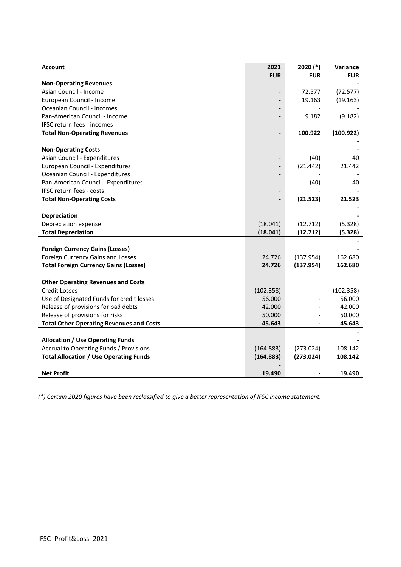| Account                                         | 2021<br><b>EUR</b> | $2020$ (*)<br><b>EUR</b> | Variance<br><b>EUR</b> |
|-------------------------------------------------|--------------------|--------------------------|------------------------|
| <b>Non-Operating Revenues</b>                   |                    |                          |                        |
| Asian Council - Income                          |                    | 72.577                   | (72.577)               |
| European Council - Income                       |                    | 19.163                   | (19.163)               |
| Oceanian Council - Incomes                      |                    |                          |                        |
| Pan-American Council - Income                   |                    | 9.182                    | (9.182)                |
| IFSC return fees - incomes                      |                    |                          |                        |
| <b>Total Non-Operating Revenues</b>             |                    | 100.922                  | (100.922)              |
|                                                 |                    |                          |                        |
| <b>Non-Operating Costs</b>                      |                    |                          |                        |
| Asian Council - Expenditures                    |                    | (40)                     | 40                     |
| European Council - Expenditures                 |                    | (21.442)                 | 21.442                 |
| Oceanian Council - Expenditures                 |                    |                          |                        |
| Pan-American Council - Expenditures             |                    | (40)                     | 40                     |
| <b>IFSC return fees - costs</b>                 |                    |                          |                        |
| <b>Total Non-Operating Costs</b>                |                    | (21.523)                 | 21.523                 |
|                                                 |                    |                          |                        |
| <b>Depreciation</b>                             |                    |                          |                        |
| Depreciation expense                            | (18.041)           | (12.712)                 | (5.328)                |
| <b>Total Depreciation</b>                       | (18.041)           | (12.712)                 | (5.328)                |
|                                                 |                    |                          |                        |
| <b>Foreign Currency Gains (Losses)</b>          |                    |                          |                        |
| Foreign Currency Gains and Losses               | 24.726             | (137.954)                | 162.680                |
| <b>Total Foreign Currency Gains (Losses)</b>    | 24.726             | (137.954)                | 162.680                |
|                                                 |                    |                          |                        |
| <b>Other Operating Revenues and Costs</b>       |                    |                          |                        |
| <b>Credit Losses</b>                            | (102.358)          |                          | (102.358)              |
| Use of Designated Funds for credit losses       | 56.000             |                          | 56.000                 |
| Release of provisions for bad debts             | 42.000             |                          | 42.000                 |
| Release of provisions for risks                 | 50.000             |                          | 50.000                 |
| <b>Total Other Operating Revenues and Costs</b> | 45.643             |                          | 45.643                 |
| <b>Allocation / Use Operating Funds</b>         |                    |                          |                        |
| Accrual to Operating Funds / Provisions         | (164.883)          | (273.024)                | 108.142                |
| <b>Total Allocation / Use Operating Funds</b>   | (164.883)          | (273.024)                | 108.142                |
|                                                 |                    |                          |                        |
| <b>Net Profit</b>                               | 19.490             |                          | 19.490                 |

*(\*) Certain 2020 figures have been reclassified to give a better representation of IFSC income statement.*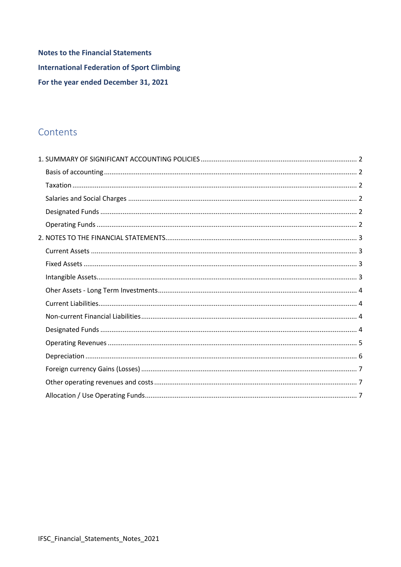**Notes to the Financial Statements International Federation of Sport Climbing** For the year ended December 31, 2021

# Contents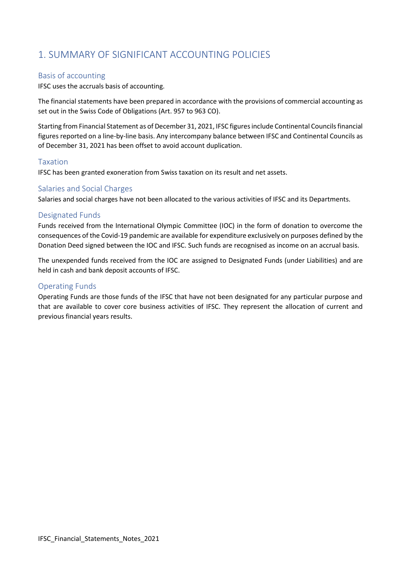# <span id="page-9-0"></span>1. SUMMARY OF SIGNIFICANT ACCOUNTING POLICIES

#### <span id="page-9-1"></span>Basis of accounting

IFSC uses the accruals basis of accounting.

The financial statements have been prepared in accordance with the provisions of commercial accounting as set out in the Swiss Code of Obligations (Art. 957 to 963 CO).

Starting from Financial Statement as of December 31, 2021, IFSC figures include Continental Councils financial figures reported on a line-by-line basis. Any intercompany balance between IFSC and Continental Councils as of December 31, 2021 has been offset to avoid account duplication.

#### <span id="page-9-2"></span>Taxation

IFSC has been granted exoneration from Swiss taxation on its result and net assets.

#### <span id="page-9-3"></span>Salaries and Social Charges

Salaries and social charges have not been allocated to the various activities of IFSC and its Departments.

#### <span id="page-9-4"></span>Designated Funds

Funds received from the International Olympic Committee (IOC) in the form of donation to overcome the consequences of the Covid-19 pandemic are available for expenditure exclusively on purposes defined by the Donation Deed signed between the IOC and IFSC. Such funds are recognised as income on an accrual basis.

The unexpended funds received from the IOC are assigned to Designated Funds (under Liabilities) and are held in cash and bank deposit accounts of IFSC.

#### <span id="page-9-5"></span>Operating Funds

Operating Funds are those funds of the IFSC that have not been designated for any particular purpose and that are available to cover core business activities of IFSC. They represent the allocation of current and previous financial years results.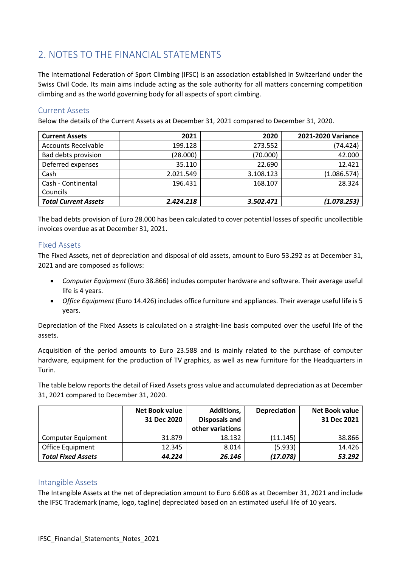# <span id="page-10-0"></span>2. NOTES TO THE FINANCIAL STATEMENTS

The International Federation of Sport Climbing (IFSC) is an association established in Switzerland under the Swiss Civil Code. Its main aims include acting as the sole authority for all matters concerning competition climbing and as the world governing body for all aspects of sport climbing.

#### <span id="page-10-1"></span>Current Assets

Below the details of the Current Assets as at December 31, 2021 compared to December 31, 2020.

| <b>Current Assets</b>       | 2021      | 2020      | 2021-2020 Variance |
|-----------------------------|-----------|-----------|--------------------|
| <b>Accounts Receivable</b>  | 199.128   | 273.552   | (74.424)           |
| Bad debts provision         | (28.000)  | (70.000)  | 42.000             |
| Deferred expenses           | 35.110    | 22.690    | 12.421             |
| Cash                        | 2.021.549 | 3.108.123 | (1.086.574)        |
| Cash - Continental          | 196.431   | 168.107   | 28.324             |
| Councils                    |           |           |                    |
| <b>Total Current Assets</b> | 2.424.218 | 3.502.471 | (1.078.253)        |

The bad debts provision of Euro 28.000 has been calculated to cover potential losses of specific uncollectible invoices overdue as at December 31, 2021.

#### <span id="page-10-2"></span>Fixed Assets

The Fixed Assets, net of depreciation and disposal of old assets, amount to Euro 53.292 as at December 31, 2021 and are composed as follows:

- *Computer Equipment* (Euro 38.866) includes computer hardware and software. Their average useful life is 4 years.
- *Office Equipment* (Euro 14.426) includes office furniture and appliances. Their average useful life is 5 years.

Depreciation of the Fixed Assets is calculated on a straight-line basis computed over the useful life of the assets.

Acquisition of the period amounts to Euro 23.588 and is mainly related to the purchase of computer hardware, equipment for the production of TV graphics, as well as new furniture for the Headquarters in Turin.

The table below reports the detail of Fixed Assets gross value and accumulated depreciation as at December 31, 2021 compared to December 31, 2020.

|                           | <b>Net Book value</b><br>31 Dec 2020 | <b>Additions,</b><br>Disposals and<br>other variations | <b>Depreciation</b> | <b>Net Book value</b><br>31 Dec 2021 |
|---------------------------|--------------------------------------|--------------------------------------------------------|---------------------|--------------------------------------|
| Computer Equipment        | 31.879                               | 18.132                                                 | (11.145)            | 38.866                               |
| <b>Office Equipment</b>   | 12.345                               | 8.014                                                  | (5.933)             | 14.426                               |
| <b>Total Fixed Assets</b> | 44.224                               | 26.146                                                 | (17.078)            | 53.292                               |

#### <span id="page-10-3"></span>Intangible Assets

The Intangible Assets at the net of depreciation amount to Euro 6.608 as at December 31, 2021 and include the IFSC Trademark (name, logo, tagline) depreciated based on an estimated useful life of 10 years.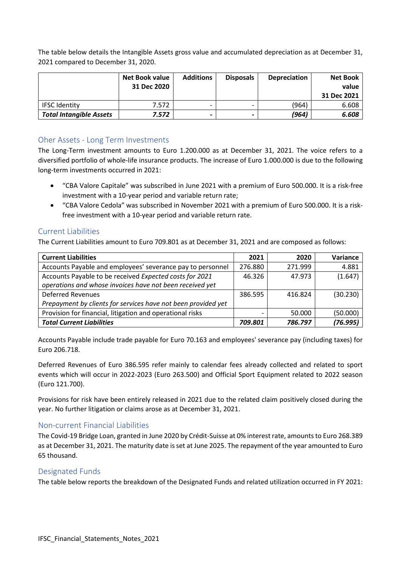The table below details the Intangible Assets gross value and accumulated depreciation as at December 31, 2021 compared to December 31, 2020.

|                                | Net Book value<br>31 Dec 2020 | <b>Additions</b> | <b>Disposals</b> | <b>Depreciation</b> | <b>Net Book</b><br>value<br>31 Dec 2021 |
|--------------------------------|-------------------------------|------------------|------------------|---------------------|-----------------------------------------|
| <b>IFSC Identity</b>           | 7.572                         |                  |                  | (964)               | 6.608                                   |
| <b>Total Intangible Assets</b> | 7.572                         |                  |                  | (964)               | 6.608                                   |

#### <span id="page-11-0"></span>Oher Assets - Long Term Investments

The Long-Term investment amounts to Euro 1.200.000 as at December 31, 2021. The voice refers to a diversified portfolio of whole-life insurance products. The increase of Euro 1.000.000 is due to the following long-term investments occurred in 2021:

- "CBA Valore Capitale" was subscribed in June 2021 with a premium of Euro 500.000. It is a risk-free investment with a 10-year period and variable return rate;
- "CBA Valore Cedola" was subscribed in November 2021 with a premium of Euro 500.000. It is a riskfree investment with a 10-year period and variable return rate.

#### <span id="page-11-1"></span>Current Liabilities

The Current Liabilities amount to Euro 709.801 as at December 31, 2021 and are composed as follows:

| <b>Current Liabilities</b>                                    | 2021    | 2020    | Variance |
|---------------------------------------------------------------|---------|---------|----------|
| Accounts Payable and employees' severance pay to personnel    | 276.880 | 271.999 | 4.881    |
| Accounts Payable to be received Expected costs for 2021       | 46.326  | 47.973  | (1.647)  |
| operations and whose invoices have not been received yet      |         |         |          |
| <b>Deferred Revenues</b>                                      | 386.595 | 416.824 | (30.230) |
| Prepayment by clients for services have not been provided yet |         |         |          |
| Provision for financial, litigation and operational risks     |         | 50.000  | (50.000) |
| <b>Total Current Liabilities</b>                              | 709.801 | 786.797 | (76.995) |

Accounts Payable include trade payable for Euro 70.163 and employees' severance pay (including taxes) for Euro 206.718.

Deferred Revenues of Euro 386.595 refer mainly to calendar fees already collected and related to sport events which will occur in 2022-2023 (Euro 263.500) and Official Sport Equipment related to 2022 season (Euro 121.700).

Provisions for risk have been entirely released in 2021 due to the related claim positively closed during the year. No further litigation or claims arose as at December 31, 2021.

#### <span id="page-11-2"></span>Non-current Financial Liabilities

The Covid-19 Bridge Loan, granted in June 2020 by Crédit-Suisse at 0% interest rate, amounts to Euro 268.389 as at December 31, 2021. The maturity date is set at June 2025. The repayment of the year amounted to Euro 65 thousand.

#### <span id="page-11-3"></span>Designated Funds

The table below reports the breakdown of the Designated Funds and related utilization occurred in FY 2021: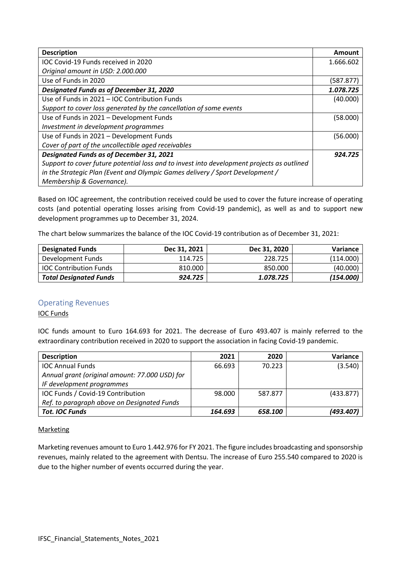| <b>Description</b>                                                                         | Amount    |
|--------------------------------------------------------------------------------------------|-----------|
| IOC Covid-19 Funds received in 2020                                                        | 1.666.602 |
| Original amount in USD: 2.000.000                                                          |           |
| Use of Funds in 2020                                                                       | (587.877) |
| <b>Designated Funds as of December 31, 2020</b>                                            | 1.078.725 |
| Use of Funds in 2021 - IOC Contribution Funds                                              | (40.000)  |
| Support to cover loss generated by the cancellation of some events                         |           |
| Use of Funds in 2021 - Development Funds                                                   | (58.000)  |
| Investment in development programmes                                                       |           |
| Use of Funds in 2021 - Development Funds                                                   | (56.000)  |
| Cover of part of the uncollectible aged receivables                                        |           |
| <b>Designated Funds as of December 31, 2021</b>                                            | 924.725   |
| Support to cover future potential loss and to invest into development projects as outlined |           |
| in the Strategic Plan (Event and Olympic Games delivery / Sport Development /              |           |
| Membership & Governance).                                                                  |           |

Based on IOC agreement, the contribution received could be used to cover the future increase of operating costs (and potential operating losses arising from Covid-19 pandemic), as well as and to support new development programmes up to December 31, 2024.

The chart below summarizes the balance of the IOC Covid-19 contribution as of December 31, 2021:

| <b>Designated Funds</b>       | Dec 31, 2021 | Dec 31, 2020 | Variance  |
|-------------------------------|--------------|--------------|-----------|
| Development Funds             | 114.725      | 228.725      | (114.000) |
| <b>IOC Contribution Funds</b> | 810.000      | 850.000      | (40.000)  |
| <b>Total Designated Funds</b> | 924.725      | 1.078.725    | (154.000) |

## <span id="page-12-0"></span>Operating Revenues

IOC Funds

IOC funds amount to Euro 164.693 for 2021. The decrease of Euro 493.407 is mainly referred to the extraordinary contribution received in 2020 to support the association in facing Covid-19 pandemic.

| <b>Description</b>                             | 2021    | 2020    | Variance  |
|------------------------------------------------|---------|---------|-----------|
| <b>IOC Annual Funds</b>                        | 66.693  | 70.223  | (3.540)   |
| Annual grant (original amount: 77.000 USD) for |         |         |           |
| IF development programmes                      |         |         |           |
| IOC Funds / Covid-19 Contribution              | 98.000  | 587.877 | (433.877) |
| Ref. to paragraph above on Designated Funds    |         |         |           |
| <b>Tot. IOC Funds</b>                          | 164.693 | 658.100 | (493.407) |

#### **Marketing**

Marketing revenues amount to Euro 1.442.976 for FY 2021. The figure includes broadcasting and sponsorship revenues, mainly related to the agreement with Dentsu. The increase of Euro 255.540 compared to 2020 is due to the higher number of events occurred during the year.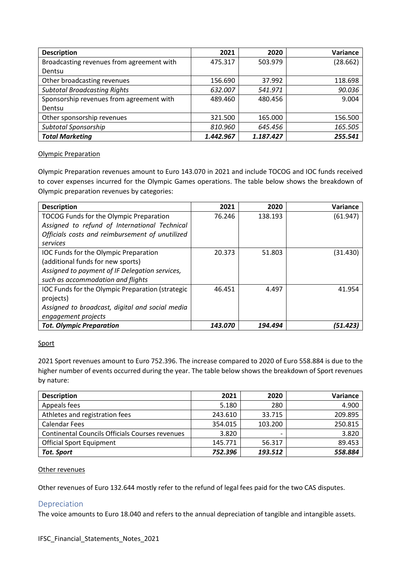| <b>Description</b>                        | 2021      | 2020      | Variance |
|-------------------------------------------|-----------|-----------|----------|
| Broadcasting revenues from agreement with | 475.317   | 503.979   | (28.662) |
| Dentsu                                    |           |           |          |
| Other broadcasting revenues               | 156.690   | 37.992    | 118.698  |
| <b>Subtotal Broadcasting Rights</b>       | 632.007   | 541.971   | 90.036   |
| Sponsorship revenues from agreement with  | 489.460   | 480.456   | 9.004    |
| Dentsu                                    |           |           |          |
| Other sponsorship revenues                | 321.500   | 165.000   | 156.500  |
| Subtotal Sponsorship                      | 810.960   | 645.456   | 165.505  |
| <b>Total Marketing</b>                    | 1.442.967 | 1.187.427 | 255.541  |

#### Olympic Preparation

Olympic Preparation revenues amount to Euro 143.070 in 2021 and include TOCOG and IOC funds received to cover expenses incurred for the Olympic Games operations. The table below shows the breakdown of Olympic preparation revenues by categories:

| <b>Description</b>                               | 2021    | 2020    | Variance |
|--------------------------------------------------|---------|---------|----------|
| TOCOG Funds for the Olympic Preparation          | 76.246  | 138.193 | (61.947) |
| Assigned to refund of International Technical    |         |         |          |
| Officials costs and reimbursement of unutilized  |         |         |          |
| services                                         |         |         |          |
| IOC Funds for the Olympic Preparation            | 20.373  | 51.803  | (31.430) |
| (additional funds for new sports)                |         |         |          |
| Assigned to payment of IF Delegation services,   |         |         |          |
| such as accommodation and flights                |         |         |          |
| IOC Funds for the Olympic Preparation (strategic | 46.451  | 4.497   | 41.954   |
| projects)                                        |         |         |          |
| Assigned to broadcast, digital and social media  |         |         |          |
| engagement projects                              |         |         |          |
| <b>Tot. Olympic Preparation</b>                  | 143.070 | 194.494 | (51.423) |

#### Sport

2021 Sport revenues amount to Euro 752.396. The increase compared to 2020 of Euro 558.884 is due to the higher number of events occurred during the year. The table below shows the breakdown of Sport revenues by nature:

| <b>Description</b>                                     | 2021    | 2020    | Variance |
|--------------------------------------------------------|---------|---------|----------|
| Appeals fees                                           | 5.180   | 280     | 4.900    |
| Athletes and registration fees                         | 243.610 | 33.715  | 209.895  |
| <b>Calendar Fees</b>                                   | 354.015 | 103.200 | 250.815  |
| <b>Continental Councils Officials Courses revenues</b> | 3.820   | -       | 3.820    |
| <b>Official Sport Equipment</b>                        | 145.771 | 56.317  | 89.453   |
| <b>Tot. Sport</b>                                      | 752.396 | 193.512 | 558.884  |

#### Other revenues

Other revenues of Euro 132.644 mostly refer to the refund of legal fees paid for the two CAS disputes.

## <span id="page-13-0"></span>Depreciation

The voice amounts to Euro 18.040 and refers to the annual depreciation of tangible and intangible assets.